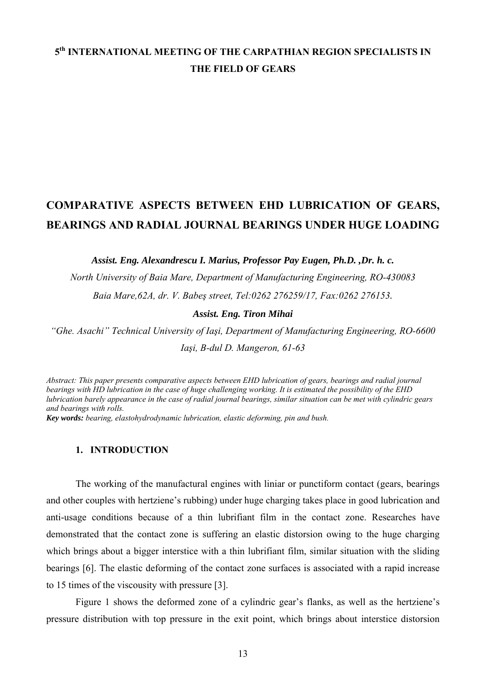## **5th INTERNATIONAL MEETING OF THE CARPATHIAN REGION SPECIALISTS IN THE FIELD OF GEARS**

# **COMPARATIVE ASPECTS BETWEEN EHD LUBRICATION OF GEARS, BEARINGS AND RADIAL JOURNAL BEARINGS UNDER HUGE LOADING**

*Assist. Eng. Alexandrescu I. Marius, Professor Pay Eugen, Ph.D. ,Dr. h. c.* 

*North University of Baia Mare, Department of Manufacturing Engineering, RO-430083 Baia Mare,62A, dr. V. Babeş street, Tel:0262 276259/17, Fax:0262 276153.*

*Assist. Eng. Tiron Mihai* 

*"Ghe. Asachi" Technical University of Iaşi, Department of Manufacturing Engineering, RO-6600 Iaşi, B-dul D. Mangeron, 61-63*

*Abstract: This paper presents comparative aspects between EHD lubrication of gears, bearings and radial journal bearings with HD lubrication in the case of huge challenging working. It is estimated the possibility of the EHD lubrication barely appearance in the case of radial journal bearings, similar situation can be met with cylindric gears and bearings with rolls.* 

*Key words: bearing, elastohydrodynamic lubrication, elastic deforming, pin and bush.* 

### **1. INTRODUCTION**

The working of the manufactural engines with liniar or punctiform contact (gears, bearings and other couples with hertziene's rubbing) under huge charging takes place in good lubrication and anti-usage conditions because of a thin lubrifiant film in the contact zone. Researches have demonstrated that the contact zone is suffering an elastic distorsion owing to the huge charging which brings about a bigger interstice with a thin lubrifiant film, similar situation with the sliding bearings [6]. The elastic deforming of the contact zone surfaces is associated with a rapid increase to 15 times of the viscousity with pressure [3].

Figure 1 shows the deformed zone of a cylindric gear's flanks, as well as the hertziene's pressure distribution with top pressure in the exit point, which brings about interstice distorsion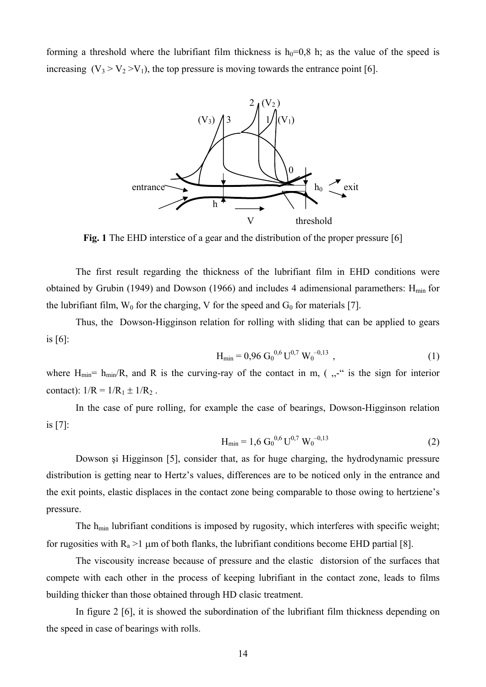forming a threshold where the lubrifiant film thickness is  $h_0=0.8$  h; as the value of the speed is increasing  $(V_3 > V_2 > V_1)$ , the top pressure is moving towards the entrance point [6].



**Fig. 1** The EHD interstice of a gear and the distribution of the proper pressure [6]

The first result regarding the thickness of the lubrifiant film in EHD conditions were obtained by Grubin (1949) and Dowson (1966) and includes 4 adimensional paramethers:  $H_{min}$  for the lubrifiant film,  $W_0$  for the charging, V for the speed and  $G_0$  for materials [7].

Thus, the Dowson-Higginson relation for rolling with sliding that can be applied to gears is [6]:

$$
H_{\min} = 0.96 G_0^{0.6} U^{0.7} W_0^{-0.13}, \qquad (1)
$$

where  $H_{min} = h_{min}/R$ , and R is the curving-ray of the contact in m, (,  $\cdot$ , " is the sign for interior contact):  $1/R = 1/R_1 \pm 1/R_2$ .

In the case of pure rolling, for example the case of bearings, Dowson-Higginson relation is [7]:

$$
H_{\min} = 1.6 G_0^{0.6} U^{0.7} W_0^{-0.13}
$$
 (2)

Dowson şi Higginson [5], consider that, as for huge charging, the hydrodynamic pressure distribution is getting near to Hertz's values, differences are to be noticed only in the entrance and the exit points, elastic displaces in the contact zone being comparable to those owing to hertziene's pressure.

The h<sub>min</sub> lubrifiant conditions is imposed by rugosity, which interferes with specific weight; for rugosities with  $R_a > 1$  µm of both flanks, the lubrifiant conditions become EHD partial [8].

 The viscousity increase because of pressure and the elastic distorsion of the surfaces that compete with each other in the process of keeping lubrifiant in the contact zone, leads to films building thicker than those obtained through HD clasic treatment.

In figure 2 [6], it is showed the subordination of the lubrifiant film thickness depending on the speed in case of bearings with rolls.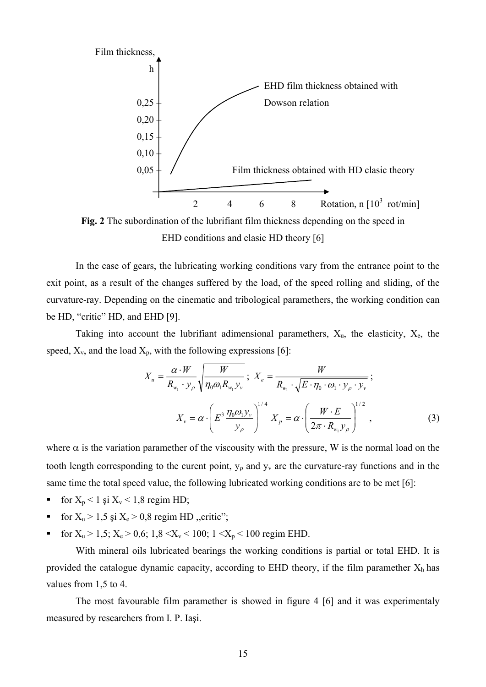

EHD conditions and clasic HD theory [6]

In the case of gears, the lubricating working conditions vary from the entrance point to the exit point, as a result of the changes suffered by the load, of the speed rolling and sliding, of the curvature-ray. Depending on the cinematic and tribological paramethers, the working condition can be HD, "critic" HD, and EHD [9].

Taking into account the lubrifiant adimensional paramethers,  $X_u$ , the elasticity,  $X_e$ , the speed,  $X_v$ , and the load  $X_p$ , with the following expressions [6]:

$$
X_{u} = \frac{\alpha \cdot W}{R_{w_{1}} \cdot y_{\rho}} \sqrt{\frac{W}{\eta_{0} \omega_{1} R_{w_{1}} y_{\nu}}}; \ X_{e} = \frac{W}{R_{w_{1}} \cdot \sqrt{E \cdot \eta_{0} \cdot \omega_{1} \cdot y_{\rho} \cdot y_{\nu}}};
$$

$$
X_{v} = \alpha \cdot \left(E^{3} \frac{\eta_{0} \omega_{1} y_{\nu}}{y_{\rho}}\right)^{1/4} X_{p} = \alpha \cdot \left(\frac{W \cdot E}{2\pi \cdot R_{w_{1}} y_{\rho}}\right)^{1/2}, \tag{3}
$$

where  $\alpha$  is the variation paramether of the viscousity with the pressure, W is the normal load on the tooth length corresponding to the curent point,  $y_{\rho}$  and  $y_{v}$  are the curvature-ray functions and in the same time the total speed value, the following lubricated working conditions are to be met [6]:

- for  $X_p < 1$  și  $X_v < 1,8$  regim HD;
- for  $X_u > 1,5$  și  $X_e > 0,8$  regim HD ,, critic";
- for  $X_u > 1,5$ ;  $X_e > 0,6$ ;  $1,8 < X_v < 100$ ;  $1 < X_p < 100$  regim EHD.

With mineral oils lubricated bearings the working conditions is partial or total EHD. It is provided the catalogue dynamic capacity, according to EHD theory, if the film paramether  $X_h$  has values from 1,5 to 4.

The most favourable film paramether is showed in figure 4 [6] and it was experimentaly measured by researchers from I. P. Iaşi.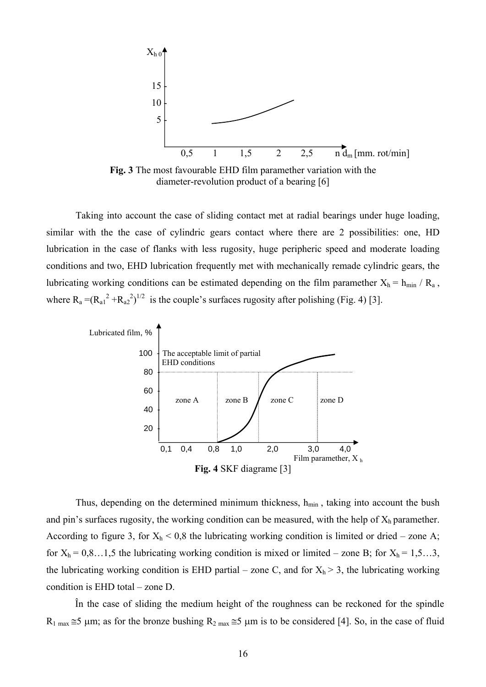

**Fig. 3** The most favourable EHD film paramether variation with the diameter-revolution product of a bearing [6]

Taking into account the case of sliding contact met at radial bearings under huge loading, similar with the the case of cylindric gears contact where there are 2 possibilities: one, HD lubrication in the case of flanks with less rugosity, huge peripheric speed and moderate loading conditions and two, EHD lubrication frequently met with mechanically remade cylindric gears, the lubricating working conditions can be estimated depending on the film paramether  $X_h = h_{min}/R_a$ , where  $R_a = (R_{a1}^2 + R_{a2}^2)^{1/2}$  is the couple's surfaces rugosity after polishing (Fig. 4) [3].



Thus, depending on the determined minimum thickness,  $h_{min}$ , taking into account the bush and pin's surfaces rugosity, the working condition can be measured, with the help of  $X_h$  paramether. According to figure 3, for  $X_h$  < 0,8 the lubricating working condition is limited or dried – zone A; for  $X_h = 0,8...1,5$  the lubricating working condition is mixed or limited – zone B; for  $X_h = 1,5...3$ , the lubricating working condition is EHD partial – zone C, and for  $X_h > 3$ , the lubricating working condition is EHD total – zone D.

În the case of sliding the medium height of the roughness can be reckoned for the spindle  $R_1$  max  $\approx$  5 μm; as for the bronze bushing  $R_2$  max  $\approx$  5 μm is to be considered [4]. So, in the case of fluid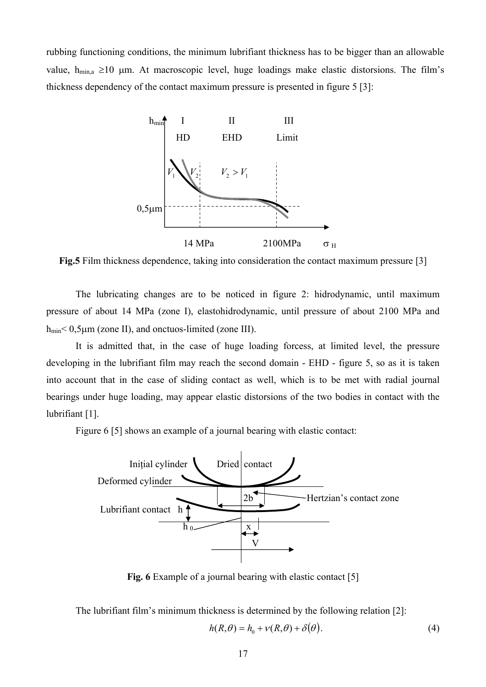rubbing functioning conditions, the minimum lubrifiant thickness has to be bigger than an allowable value,  $h_{\text{min,a}} \ge 10$  μm. At macroscopic level, huge loadings make elastic distorsions. The film's thickness dependency of the contact maximum pressure is presented in figure 5 [3]:



**Fig.5** Film thickness dependence, taking into consideration the contact maximum pressure [3]

The lubricating changes are to be noticed in figure 2: hidrodynamic, until maximum pressure of about 14 MPa (zone I), elastohidrodynamic, until pressure of about 2100 MPa and  $h_{min}$  < 0,5 $\mu$ m (zone II), and onctuos-limited (zone III).

It is admitted that, in the case of huge loading forcess, at limited level, the pressure developing in the lubrifiant film may reach the second domain - EHD - figure 5, so as it is taken into account that in the case of sliding contact as well, which is to be met with radial journal bearings under huge loading, may appear elastic distorsions of the two bodies in contact with the lubrifiant [1].

Figure 6 [5] shows an example of a journal bearing with elastic contact:



**Fig. 6** Example of a journal bearing with elastic contact [5]

The lubrifiant film's minimum thickness is determined by the following relation [2]:

$$
h(R,\theta) = h_0 + v(R,\theta) + \delta(\theta).
$$
 (4)